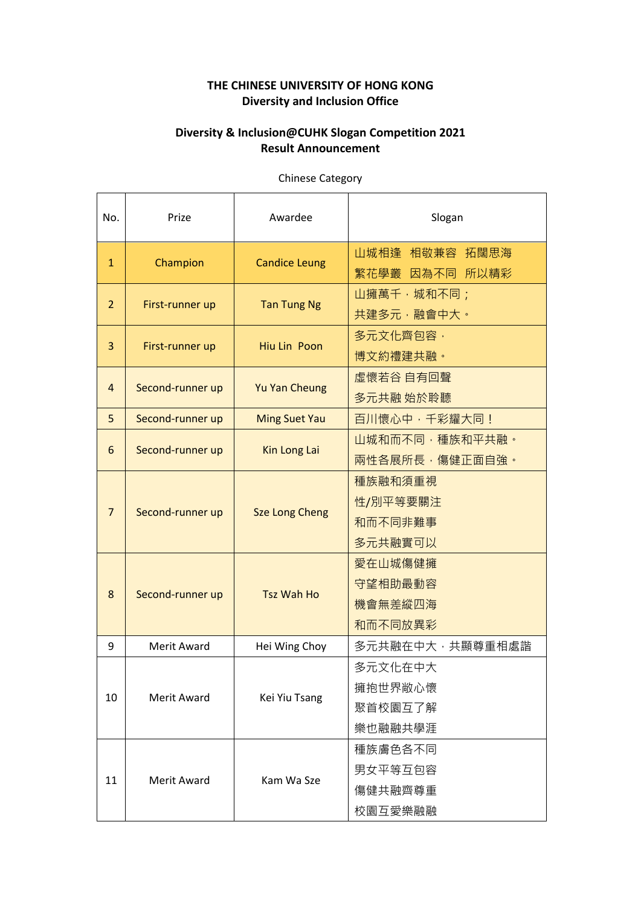## **THE CHINESE UNIVERSITY OF HONG KONG Diversity and Inclusion Office**

## **Diversity & Inclusion@CUHK Slogan Competition 2021 Result Announcement**

| No.            | Prize            | Awardee               | Slogan          |
|----------------|------------------|-----------------------|-----------------|
|                |                  |                       |                 |
|                | Champion         | <b>Candice Leung</b>  | 山城相逢 相敬兼容 拓闊思海  |
| $\mathbf{1}$   |                  |                       | 繁花學叢 因為不同 所以精彩  |
| $\overline{2}$ | First-runner up  | <b>Tan Tung Ng</b>    | 山擁萬千,城和不同;      |
|                |                  |                       | 共建多元,融會中大。      |
|                | First-runner up  | Hiu Lin Poon          | 多元文化齊包容,        |
| 3              |                  |                       | 博文約禮建共融。        |
| 4              | Second-runner up | <b>Yu Yan Cheung</b>  | 虛懷若谷 自有回聲       |
|                |                  |                       | 多元共融 始於聆聽       |
| 5              | Second-runner up | <b>Ming Suet Yau</b>  | 百川懷心中,千彩耀大同!    |
|                | Second-runner up | Kin Long Lai          | 山城和而不同,種族和平共融。  |
| 6              |                  |                       | 兩性各展所長,傷健正面自強。  |
|                | Second-runner up | <b>Sze Long Cheng</b> | 種族融和須重視         |
|                |                  |                       | 性/別平等要關注        |
| $\overline{7}$ |                  |                       | 和而不同非難事         |
|                |                  |                       | 多元共融實可以         |
|                | Second-runner up | <b>Tsz Wah Ho</b>     | 愛在山城傷健擁         |
|                |                  |                       | 守望相助最動容         |
| 8              |                  |                       | 機會無差縱四海         |
|                |                  |                       | 和而不同放異彩         |
| 9              | Merit Award      | Hei Wing Choy         | 多元共融在中大,共顯尊重相處諧 |
| 10             | Merit Award      | Kei Yiu Tsang         | 多元文化在中大         |
|                |                  |                       | 擁抱世界敞心懷         |
|                |                  |                       | 聚首校園互了解         |
|                |                  |                       | 樂也融融共學涯         |
| 11             | Merit Award      | Kam Wa Sze            | 種族膚色各不同         |
|                |                  |                       | 男女平等互包容         |
|                |                  |                       | 傷健共融齊尊重         |
|                |                  |                       | 校園互愛樂融融         |

Chinese Category